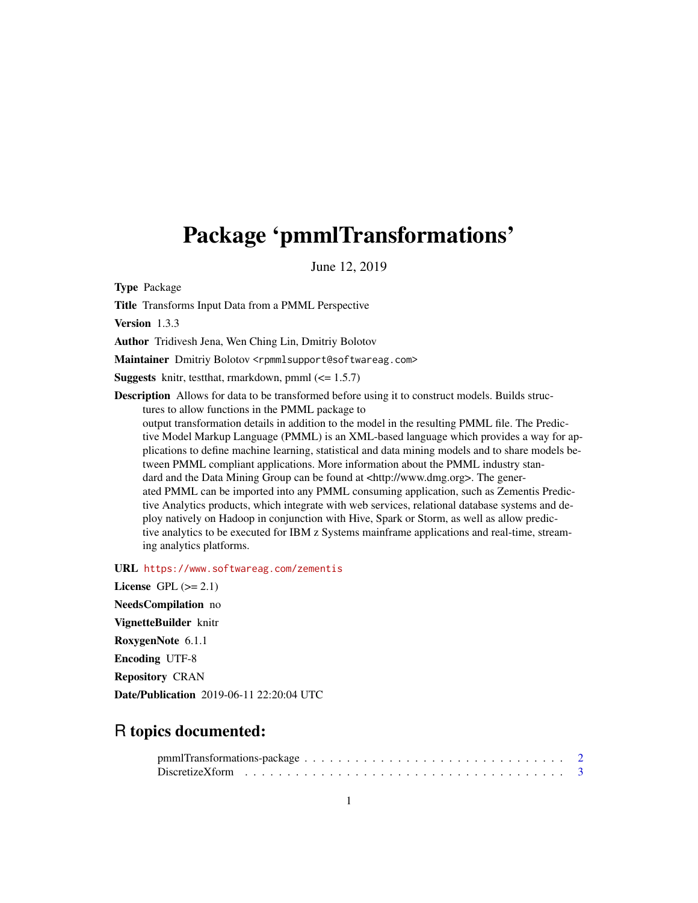# <span id="page-0-0"></span>Package 'pmmlTransformations'

June 12, 2019

Type Package

Title Transforms Input Data from a PMML Perspective

Version 1.3.3

Author Tridivesh Jena, Wen Ching Lin, Dmitriy Bolotov

Maintainer Dmitriy Bolotov <rpmmlsupport@softwareag.com>

**Suggests** knitr, test that, rmarkdown, pmml  $\left(\leq 1.5.7\right)$ 

Description Allows for data to be transformed before using it to construct models. Builds structures to allow functions in the PMML package to

output transformation details in addition to the model in the resulting PMML file. The Predictive Model Markup Language (PMML) is an XML-based language which provides a way for applications to define machine learning, statistical and data mining models and to share models between PMML compliant applications. More information about the PMML industry standard and the Data Mining Group can be found at  $\langle \text{http://www.dmg.org>}{\rangle}$ . The generated PMML can be imported into any PMML consuming application, such as Zementis Predictive Analytics products, which integrate with web services, relational database systems and deploy natively on Hadoop in conjunction with Hive, Spark or Storm, as well as allow predictive analytics to be executed for IBM z Systems mainframe applications and real-time, streaming analytics platforms.

URL <https://www.softwareag.com/zementis>

License GPL  $(>= 2.1)$ NeedsCompilation no VignetteBuilder knitr RoxygenNote 6.1.1 Encoding UTF-8 Repository CRAN Date/Publication 2019-06-11 22:20:04 UTC

# R topics documented: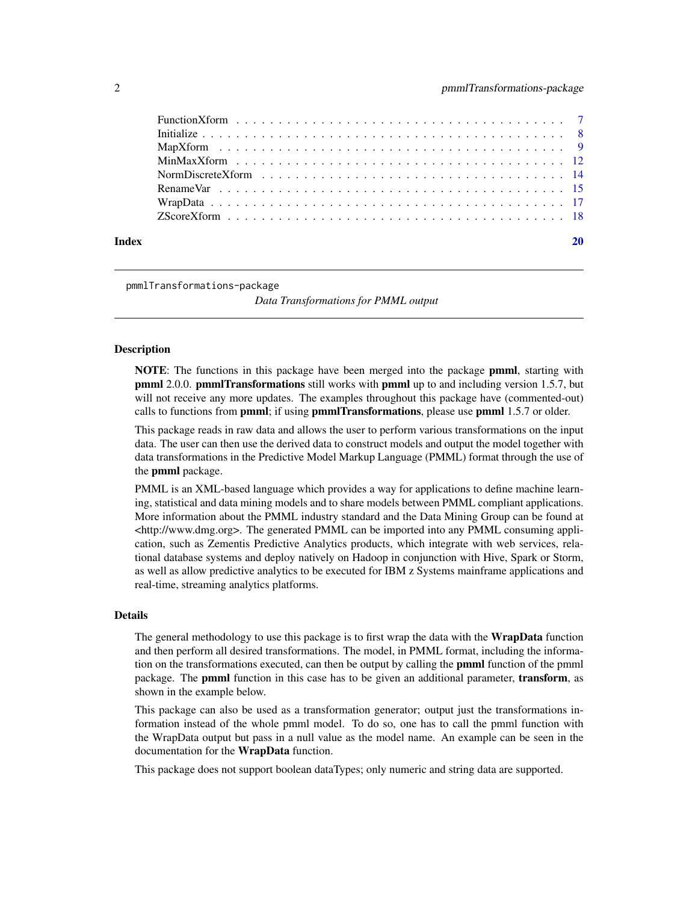<span id="page-1-0"></span>

| Index |  |
|-------|--|

pmmlTransformations-package

*Data Transformations for PMML output*

## Description

NOTE: The functions in this package have been merged into the package pmml, starting with **pmml 2.0.0. pmmlTransformations** still works with **pmml** up to and including version 1.5.7, but will not receive any more updates. The examples throughout this package have (commented-out) calls to functions from **pmml**; if using **pmmlTransformations**, please use **pmml** 1.5.7 or older.

This package reads in raw data and allows the user to perform various transformations on the input data. The user can then use the derived data to construct models and output the model together with data transformations in the Predictive Model Markup Language (PMML) format through the use of the pmml package.

PMML is an XML-based language which provides a way for applications to define machine learning, statistical and data mining models and to share models between PMML compliant applications. More information about the PMML industry standard and the Data Mining Group can be found at  $\lt$ http://www.dmg.org>. The generated PMML can be imported into any PMML consuming application, such as Zementis Predictive Analytics products, which integrate with web services, relational database systems and deploy natively on Hadoop in conjunction with Hive, Spark or Storm, as well as allow predictive analytics to be executed for IBM z Systems mainframe applications and real-time, streaming analytics platforms.

#### Details

The general methodology to use this package is to first wrap the data with the **WrapData** function and then perform all desired transformations. The model, in PMML format, including the information on the transformations executed, can then be output by calling the **pmml** function of the pmml package. The **pmml** function in this case has to be given an additional parameter, **transform**, as shown in the example below.

This package can also be used as a transformation generator; output just the transformations information instead of the whole pmml model. To do so, one has to call the pmml function with the WrapData output but pass in a null value as the model name. An example can be seen in the documentation for the WrapData function.

This package does not support boolean dataTypes; only numeric and string data are supported.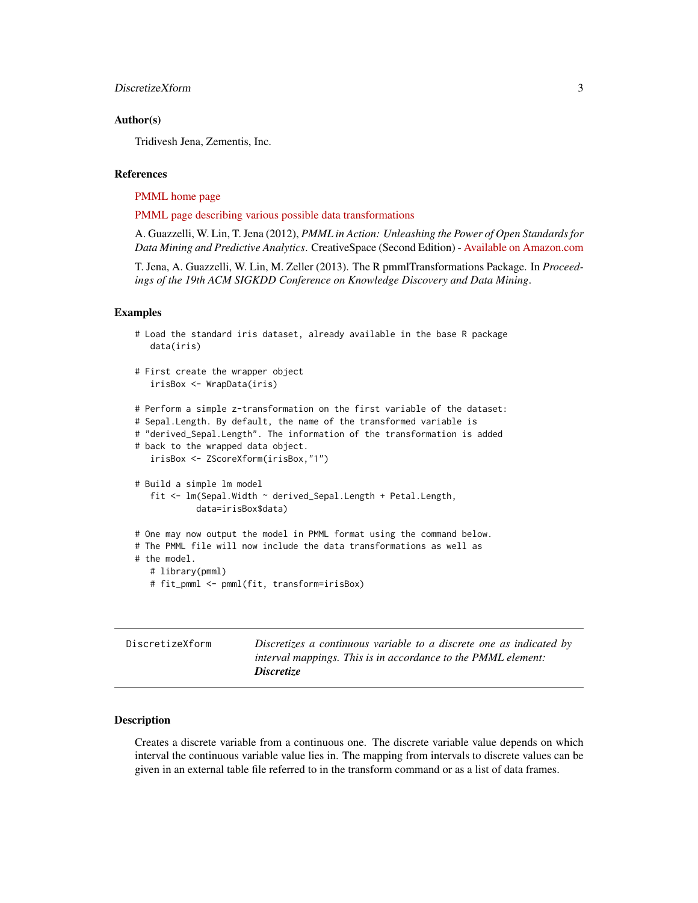# <span id="page-2-0"></span>Author(s)

Tridivesh Jena, Zementis, Inc.

# References

[PMML home page](http://www.dmg.org)

[PMML page describing various possible data transformations](http://dmg.org/pmml/v4-3/Transformations.html)

A. Guazzelli, W. Lin, T. Jena (2012), *PMML in Action: Unleashing the Power of Open Standards for Data Mining and Predictive Analytics*. CreativeSpace (Second Edition) - [Available on Amazon.com](http://www.amazon.com/dp/1470003244)

T. Jena, A. Guazzelli, W. Lin, M. Zeller (2013). The R pmmlTransformations Package. In *Proceedings of the 19th ACM SIGKDD Conference on Knowledge Discovery and Data Mining*.

#### Examples

```
# Load the standard iris dataset, already available in the base R package
  data(iris)
# First create the wrapper object
  irisBox <- WrapData(iris)
# Perform a simple z-transformation on the first variable of the dataset:
# Sepal.Length. By default, the name of the transformed variable is
# "derived_Sepal.Length". The information of the transformation is added
# back to the wrapped data object.
  irisBox <- ZScoreXform(irisBox,"1")
# Build a simple lm model
  fit <- lm(Sepal.Width ~ derived_Sepal.Length + Petal.Length,
            data=irisBox$data)
# One may now output the model in PMML format using the command below.
# The PMML file will now include the data transformations as well as
# the model.
   # library(pmml)
```

```
# fit_pmml <- pmml(fit, transform=irisBox)
```

| DiscretizeXform | Discretizes a continuous variable to a discrete one as indicated by |
|-----------------|---------------------------------------------------------------------|
|                 | interval mappings. This is in accordance to the PMML element:       |
|                 | <i>Discretize</i>                                                   |

# Description

Creates a discrete variable from a continuous one. The discrete variable value depends on which interval the continuous variable value lies in. The mapping from intervals to discrete values can be given in an external table file referred to in the transform command or as a list of data frames.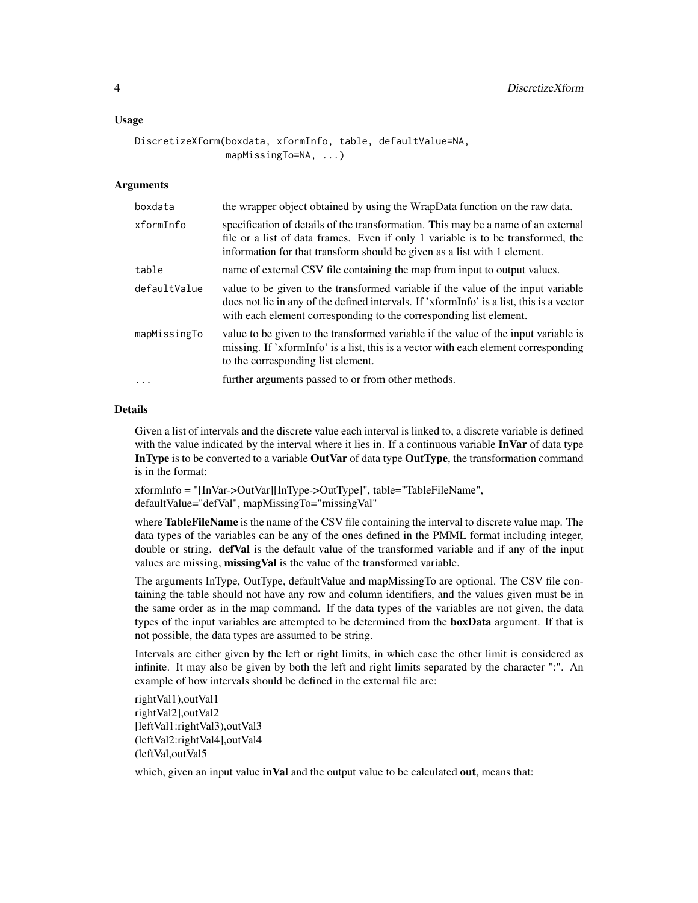# Usage

```
DiscretizeXform(boxdata, xformInfo, table, defaultValue=NA,
                mapMissingTo=NA, ...)
```
# Arguments

| boxdata      | the wrapper object obtained by using the WrapData function on the raw data.                                                                                                                                                                        |
|--------------|----------------------------------------------------------------------------------------------------------------------------------------------------------------------------------------------------------------------------------------------------|
| xformInfo    | specification of details of the transformation. This may be a name of an external<br>file or a list of data frames. Even if only 1 variable is to be transformed, the<br>information for that transform should be given as a list with 1 element.  |
| table        | name of external CSV file containing the map from input to output values.                                                                                                                                                                          |
| defaultValue | value to be given to the transformed variable if the value of the input variable<br>does not lie in any of the defined intervals. If 'xformInfo' is a list, this is a vector<br>with each element corresponding to the corresponding list element. |
| mapMissingTo | value to be given to the transformed variable if the value of the input variable is<br>missing. If 'xformInfo' is a list, this is a vector with each element corresponding<br>to the corresponding list element.                                   |
| $\ddots$     | further arguments passed to or from other methods.                                                                                                                                                                                                 |
|              |                                                                                                                                                                                                                                                    |

# Details

Given a list of intervals and the discrete value each interval is linked to, a discrete variable is defined with the value indicated by the interval where it lies in. If a continuous variable  $\text{InVar}$  of data type In Type is to be converted to a variable Out Var of data type Out Type, the transformation command is in the format:

xformInfo = "[InVar->OutVar][InType->OutType]", table="TableFileName", defaultValue="defVal", mapMissingTo="missingVal"

where **TableFileName** is the name of the CSV file containing the interval to discrete value map. The data types of the variables can be any of the ones defined in the PMML format including integer, double or string. **defVal** is the default value of the transformed variable and if any of the input values are missing, missingVal is the value of the transformed variable.

The arguments InType, OutType, defaultValue and mapMissingTo are optional. The CSV file containing the table should not have any row and column identifiers, and the values given must be in the same order as in the map command. If the data types of the variables are not given, the data types of the input variables are attempted to be determined from the **boxData** argument. If that is not possible, the data types are assumed to be string.

Intervals are either given by the left or right limits, in which case the other limit is considered as infinite. It may also be given by both the left and right limits separated by the character ":". An example of how intervals should be defined in the external file are:

rightVal1),outVal1 rightVal2],outVal2 [leftVal1:rightVal3),outVal3 (leftVal2:rightVal4],outVal4 (leftVal,outVal5

which, given an input value inVal and the output value to be calculated out, means that: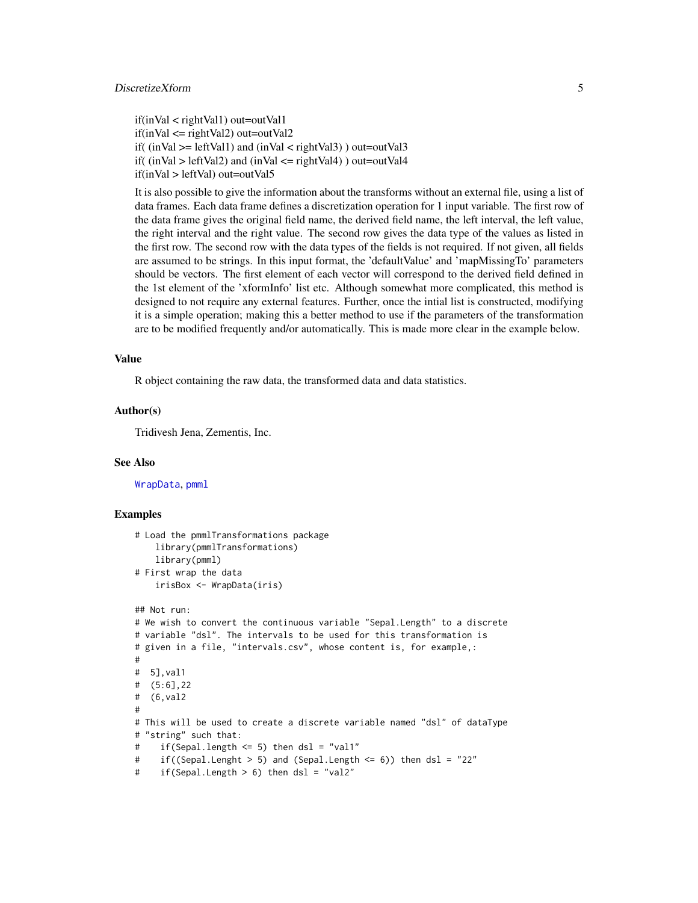<span id="page-4-0"></span>if(inVal < rightVal1) out=outVal1  $if(inVal \leq= rightVal2)$  out=outVal2 if(  $(inVal \geq [effVal1)$  and  $(inVal \leq rightVal3)$   $)$  out=outVal3 if(  $(inVal > leftVal2)$  and  $(inVal < = rightVal4)$ ) out=outVal4 if(inVal > leftVal) out=outVal5

It is also possible to give the information about the transforms without an external file, using a list of data frames. Each data frame defines a discretization operation for 1 input variable. The first row of the data frame gives the original field name, the derived field name, the left interval, the left value, the right interval and the right value. The second row gives the data type of the values as listed in the first row. The second row with the data types of the fields is not required. If not given, all fields are assumed to be strings. In this input format, the 'defaultValue' and 'mapMissingTo' parameters should be vectors. The first element of each vector will correspond to the derived field defined in the 1st element of the 'xformInfo' list etc. Although somewhat more complicated, this method is designed to not require any external features. Further, once the intial list is constructed, modifying it is a simple operation; making this a better method to use if the parameters of the transformation are to be modified frequently and/or automatically. This is made more clear in the example below.

#### Value

R object containing the raw data, the transformed data and data statistics.

#### Author(s)

Tridivesh Jena, Zementis, Inc.

#### See Also

[WrapData](#page-16-1), [pmml](#page-0-0)

```
# Load the pmmlTransformations package
    library(pmmlTransformations)
    library(pmml)
# First wrap the data
    irisBox <- WrapData(iris)
## Not run:
# We wish to convert the continuous variable "Sepal.Length" to a discrete
# variable "dsl". The intervals to be used for this transformation is
# given in a file, "intervals.csv", whose content is, for example,:
#
# 5],val1
# (5:6],22
# (6,val2
#
# This will be used to create a discrete variable named "dsl" of dataType
# "string" such that:
```

```
# if(Sepal.length <= 5) then dsl = "val1"
```

```
# if((Sepal.Lenght > 5) and (Sepal.Length <= 6)) then dsl = "22"
```

```
# if(Sepal.Length > 6) then dsl = "val2"
```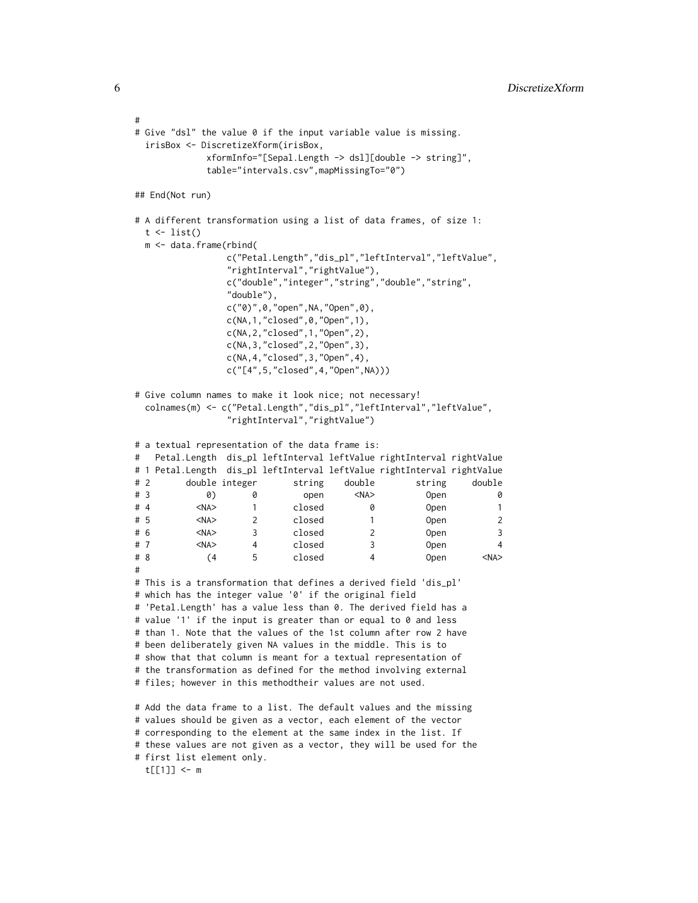```
#
# Give "dsl" the value 0 if the input variable value is missing.
 irisBox <- DiscretizeXform(irisBox,
            xformInfo="[Sepal.Length -> dsl][double -> string]",
            table="intervals.csv",mapMissingTo="0")
## End(Not run)
# A different transformation using a list of data frames, of size 1:
 t \leftarrow list()m <- data.frame(rbind(
                c("Petal.Length","dis_pl","leftInterval","leftValue",
                "rightInterval","rightValue"),
                c("double","integer","string","double","string",
                "double"),
                c("0)",0,"open",NA,"Open",0),
                c(NA,1,"closed",0,"Open",1),
                c(NA,2,"closed",1,"Open",2),
                c(NA,3,"closed",2,"Open",3),
                c(NA,4,"closed",3,"Open",4),
                c("[4",5,"closed",4,"Open",NA)))
# Give column names to make it look nice; not necessary!
 colnames(m) <- c("Petal.Length","dis_pl","leftInterval","leftValue",
                "rightInterval","rightValue")
# a textual representation of the data frame is:
# Petal.Length dis_pl leftInterval leftValue rightInterval rightValue
# 1 Petal.Length dis_pl leftInterval leftValue rightInterval rightValue
# 2 double integer string double string double
# 3 0) 0 open <NA> Open 0
# 4 <NA> 1 closed 0 Open 1
# 5 <NA> 2 closed 1 Open 2
# 6 <NA> 3 closed 2 Open 3
# 7 <NA> 4 closed 3 Open 4
# 8 (4 5 closed 4 Open <NA>
#
# This is a transformation that defines a derived field 'dis_pl'
# which has the integer value '0' if the original field
# 'Petal.Length' has a value less than 0. The derived field has a
# value '1' if the input is greater than or equal to 0 and less
# than 1. Note that the values of the 1st column after row 2 have
# been deliberately given NA values in the middle. This is to
# show that that column is meant for a textual representation of
# the transformation as defined for the method involving external
# files; however in this methodtheir values are not used.
# Add the data frame to a list. The default values and the missing
# values should be given as a vector, each element of the vector
# corresponding to the element at the same index in the list. If
# these values are not given as a vector, they will be used for the
# first list element only.
```
t[[1]] <- m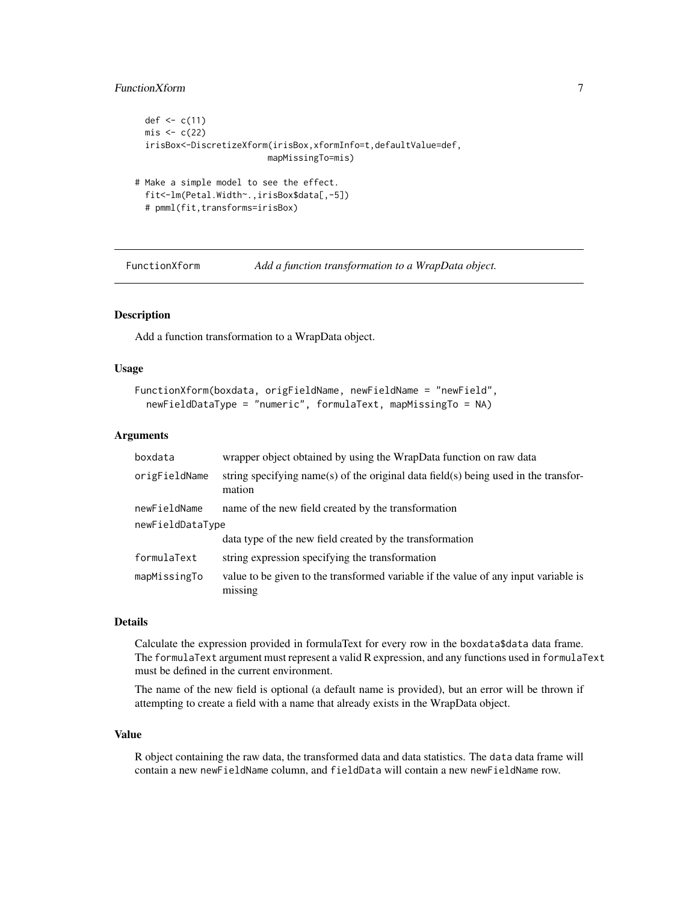# <span id="page-6-0"></span>FunctionXform 7

```
def \leq c(11)
 mis \leftarrow c(22)irisBox<-DiscretizeXform(irisBox,xformInfo=t,defaultValue=def,
                           mapMissingTo=mis)
# Make a simple model to see the effect.
 fit<-lm(Petal.Width~.,irisBox$data[,-5])
 # pmml(fit,transforms=irisBox)
```
FunctionXform *Add a function transformation to a WrapData object.*

# Description

Add a function transformation to a WrapData object.

#### Usage

```
FunctionXform(boxdata, origFieldName, newFieldName = "newField",
  newFieldDataType = "numeric", formulaText, mapMissingTo = NA)
```
# Arguments

| boxdata          | wrapper object obtained by using the WrapData function on raw data                             |
|------------------|------------------------------------------------------------------------------------------------|
| origFieldName    | string specifying name(s) of the original data field(s) being used in the transfor-<br>mation  |
| newFieldName     | name of the new field created by the transformation                                            |
| newFieldDataType |                                                                                                |
|                  | data type of the new field created by the transformation                                       |
| formulaText      | string expression specifying the transformation                                                |
| mapMissingTo     | value to be given to the transformed variable if the value of any input variable is<br>missing |

# Details

Calculate the expression provided in formulaText for every row in the boxdata\$data data frame. The formulaText argument must represent a valid R expression, and any functions used in formulaText must be defined in the current environment.

The name of the new field is optional (a default name is provided), but an error will be thrown if attempting to create a field with a name that already exists in the WrapData object.

# Value

R object containing the raw data, the transformed data and data statistics. The data data frame will contain a new newFieldName column, and fieldData will contain a new newFieldName row.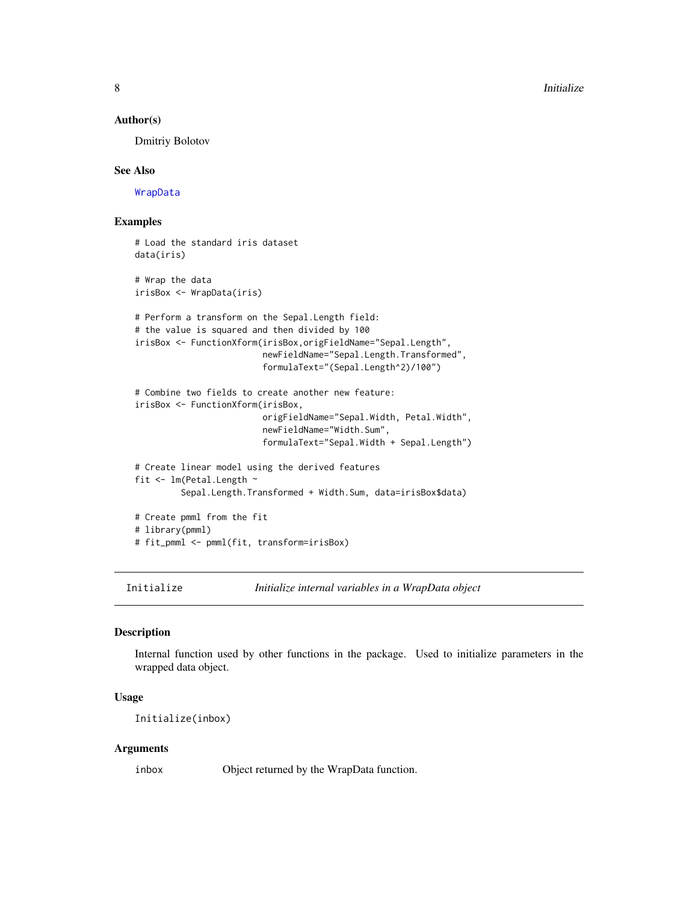#### Author(s)

Dmitriy Bolotov

#### See Also

[WrapData](#page-16-1)

# Examples

```
# Load the standard iris dataset
data(iris)
# Wrap the data
irisBox <- WrapData(iris)
# Perform a transform on the Sepal.Length field:
# the value is squared and then divided by 100
irisBox <- FunctionXform(irisBox,origFieldName="Sepal.Length",
                         newFieldName="Sepal.Length.Transformed",
                         formulaText="(Sepal.Length^2)/100")
# Combine two fields to create another new feature:
irisBox <- FunctionXform(irisBox,
                         origFieldName="Sepal.Width, Petal.Width",
                         newFieldName="Width.Sum",
                         formulaText="Sepal.Width + Sepal.Length")
# Create linear model using the derived features
fit <- lm(Petal.Length ~
         Sepal.Length.Transformed + Width.Sum, data=irisBox$data)
# Create pmml from the fit
# library(pmml)
# fit_pmml <- pmml(fit, transform=irisBox)
```
Initialize *Initialize internal variables in a WrapData object*

# Description

Internal function used by other functions in the package. Used to initialize parameters in the wrapped data object.

# Usage

Initialize(inbox)

#### Arguments

inbox Object returned by the WrapData function.

<span id="page-7-0"></span>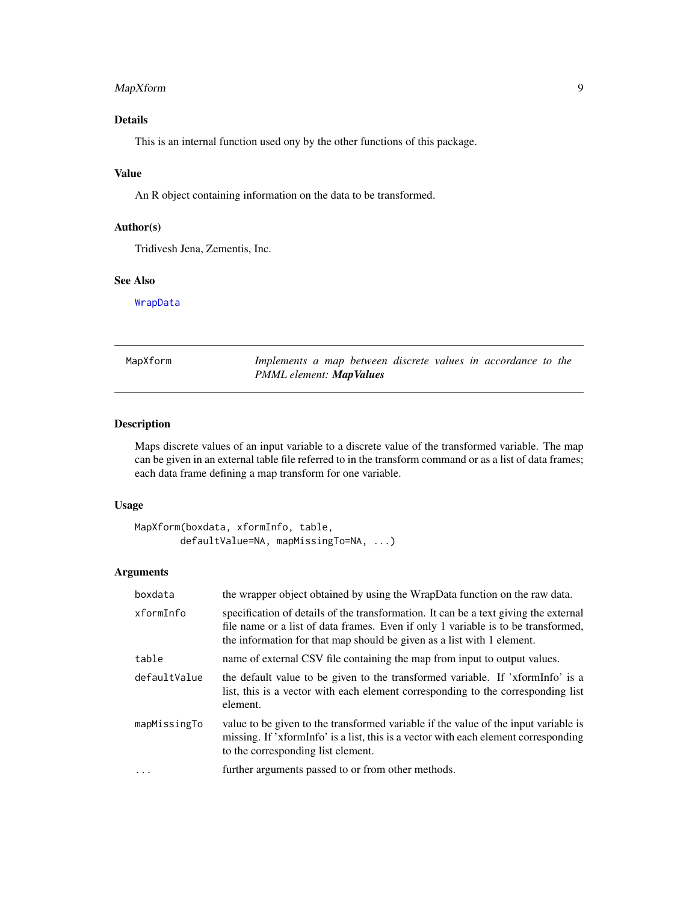# <span id="page-8-0"></span>MapXform 9

# Details

This is an internal function used ony by the other functions of this package.

# Value

An R object containing information on the data to be transformed.

# Author(s)

Tridivesh Jena, Zementis, Inc.

# See Also

[WrapData](#page-16-1)

| MapXform |
|----------|
|          |

Implements a map between discrete values in accordance to the *PMML element: MapValues*

# Description

Maps discrete values of an input variable to a discrete value of the transformed variable. The map can be given in an external table file referred to in the transform command or as a list of data frames; each data frame defining a map transform for one variable.

# Usage

```
MapXform(boxdata, xformInfo, table,
        defaultValue=NA, mapMissingTo=NA, ...)
```
# Arguments

| boxdata      | the wrapper object obtained by using the WrapData function on the raw data.                                                                                                                                                                         |
|--------------|-----------------------------------------------------------------------------------------------------------------------------------------------------------------------------------------------------------------------------------------------------|
| xformInfo    | specification of details of the transformation. It can be a text giving the external<br>file name or a list of data frames. Even if only 1 variable is to be transformed,<br>the information for that map should be given as a list with 1 element. |
| table        | name of external CSV file containing the map from input to output values.                                                                                                                                                                           |
| defaultValue | the default value to be given to the transformed variable. If 'xformInfo' is a<br>list, this is a vector with each element corresponding to the corresponding list<br>element.                                                                      |
| mapMissingTo | value to be given to the transformed variable if the value of the input variable is<br>missing. If 'xformInfo' is a list, this is a vector with each element corresponding<br>to the corresponding list element.                                    |
| $\ddotsc$    | further arguments passed to or from other methods.                                                                                                                                                                                                  |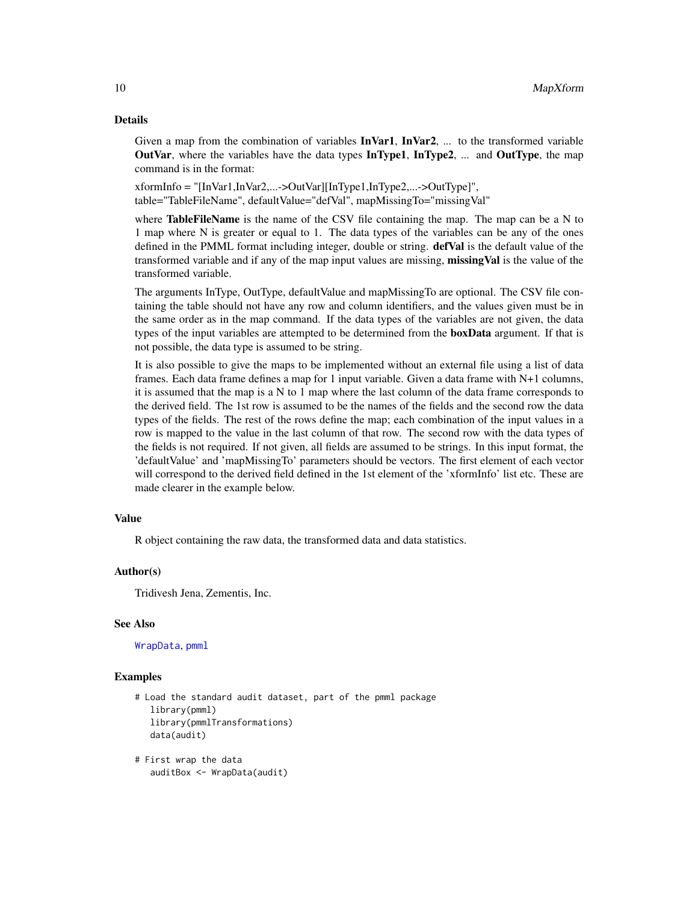# <span id="page-9-0"></span>Details

Given a map from the combination of variables  $\text{InVar1}, \text{InVar2}, \dots$  to the transformed variable OutVar, where the variables have the data types InType1, InType2, ... and OutType, the map command is in the format:

xformInfo = "[InVar1,InVar2,...->OutVar][InType1,InType2,...->OutType]", table="TableFileName", defaultValue="defVal", mapMissingTo="missingVal"

where **TableFileName** is the name of the CSV file containing the map. The map can be a N to 1 map where N is greater or equal to 1. The data types of the variables can be any of the ones defined in the PMML format including integer, double or string. **defVal** is the default value of the transformed variable and if any of the map input values are missing, missingVal is the value of the transformed variable.

The arguments InType, OutType, defaultValue and mapMissingTo are optional. The CSV file containing the table should not have any row and column identifiers, and the values given must be in the same order as in the map command. If the data types of the variables are not given, the data types of the input variables are attempted to be determined from the **boxData** argument. If that is not possible, the data type is assumed to be string.

It is also possible to give the maps to be implemented without an external file using a list of data frames. Each data frame defines a map for 1 input variable. Given a data frame with N+1 columns, it is assumed that the map is a N to 1 map where the last column of the data frame corresponds to the derived field. The 1st row is assumed to be the names of the fields and the second row the data types of the fields. The rest of the rows define the map; each combination of the input values in a row is mapped to the value in the last column of that row. The second row with the data types of the fields is not required. If not given, all fields are assumed to be strings. In this input format, the 'defaultValue' and 'mapMissingTo' parameters should be vectors. The first element of each vector will correspond to the derived field defined in the 1st element of the 'xformInfo' list etc. These are made clearer in the example below.

# Value

R object containing the raw data, the transformed data and data statistics.

# Author(s)

Tridivesh Jena, Zementis, Inc.

# See Also

[WrapData](#page-16-1), [pmml](#page-0-0)

- # Load the standard audit dataset, part of the pmml package library(pmml) library(pmmlTransformations) data(audit)
- # First wrap the data auditBox <- WrapData(audit)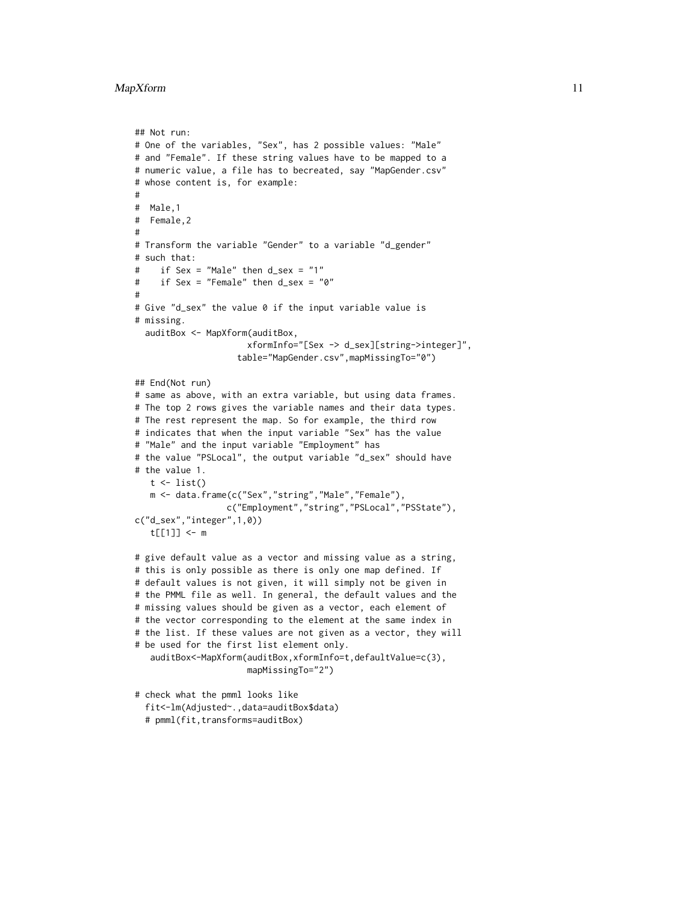```
## Not run:
# One of the variables, "Sex", has 2 possible values: "Male"
# and "Female". If these string values have to be mapped to a
# numeric value, a file has to becreated, say "MapGender.csv"
# whose content is, for example:
#
# Male,1
# Female,2
#
# Transform the variable "Gender" to a variable "d_gender"
# such that:
# if Sex = "Male" then d_sex = "1"
# if Sex = "Female" then d_sex = "0"
#
# Give "d_sex" the value 0 if the input variable value is
# missing.
  auditBox <- MapXform(auditBox,
                      xformInfo="[Sex -> d_sex][string->integer]",
                    table="MapGender.csv",mapMissingTo="0")
## End(Not run)
# same as above, with an extra variable, but using data frames.
# The top 2 rows gives the variable names and their data types.
# The rest represent the map. So for example, the third row
# indicates that when the input variable "Sex" has the value
# "Male" and the input variable "Employment" has
# the value "PSLocal", the output variable "d_sex" should have
# the value 1.
   t \leftarrow list()m <- data.frame(c("Sex","string","Male","Female"),
                  c("Employment","string","PSLocal","PSState"),
c("d_sex","integer",1,0))
   t[[1]] <- m
# give default value as a vector and missing value as a string,
# this is only possible as there is only one map defined. If
# default values is not given, it will simply not be given in
# the PMML file as well. In general, the default values and the
# missing values should be given as a vector, each element of
# the vector corresponding to the element at the same index in
# the list. If these values are not given as a vector, they will
# be used for the first list element only.
   auditBox<-MapXform(auditBox,xformInfo=t,defaultValue=c(3),
                      mapMissingTo="2")
```
# check what the pmml looks like fit<-lm(Adjusted~.,data=auditBox\$data) # pmml(fit,transforms=auditBox)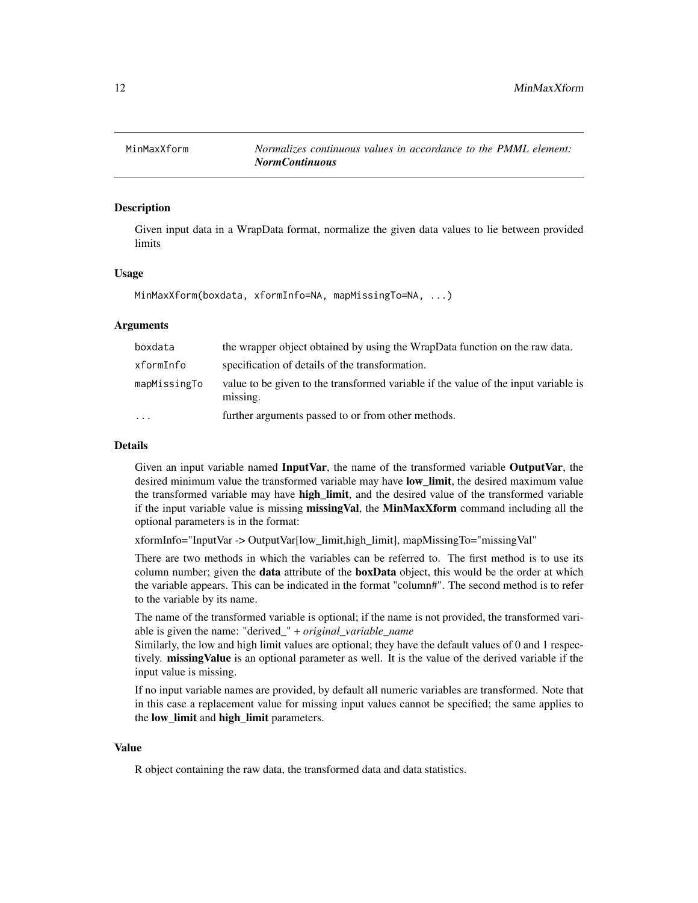<span id="page-11-0"></span>

# Description

Given input data in a WrapData format, normalize the given data values to lie between provided limits

#### Usage

MinMaxXform(boxdata, xformInfo=NA, mapMissingTo=NA, ...)

# **Arguments**

| boxdata      | the wrapper object obtained by using the WrapData function on the raw data.                     |
|--------------|-------------------------------------------------------------------------------------------------|
| xformInfo    | specification of details of the transformation.                                                 |
| mapMissingTo | value to be given to the transformed variable if the value of the input variable is<br>missing. |
| $\cdots$     | further arguments passed to or from other methods.                                              |

# Details

Given an input variable named InputVar, the name of the transformed variable OutputVar, the desired minimum value the transformed variable may have low limit, the desired maximum value the transformed variable may have high\_limit, and the desired value of the transformed variable if the input variable value is missing missingVal, the MinMaxXform command including all the optional parameters is in the format:

xformInfo="InputVar -> OutputVar[low\_limit,high\_limit], mapMissingTo="missingVal"

There are two methods in which the variables can be referred to. The first method is to use its column number; given the **data** attribute of the **boxData** object, this would be the order at which the variable appears. This can be indicated in the format "column#". The second method is to refer to the variable by its name.

The name of the transformed variable is optional; if the name is not provided, the transformed variable is given the name: "derived\_" + *original\_variable\_name*

Similarly, the low and high limit values are optional; they have the default values of 0 and 1 respectively. missing Value is an optional parameter as well. It is the value of the derived variable if the input value is missing.

If no input variable names are provided, by default all numeric variables are transformed. Note that in this case a replacement value for missing input values cannot be specified; the same applies to the low\_limit and high\_limit parameters.

# Value

R object containing the raw data, the transformed data and data statistics.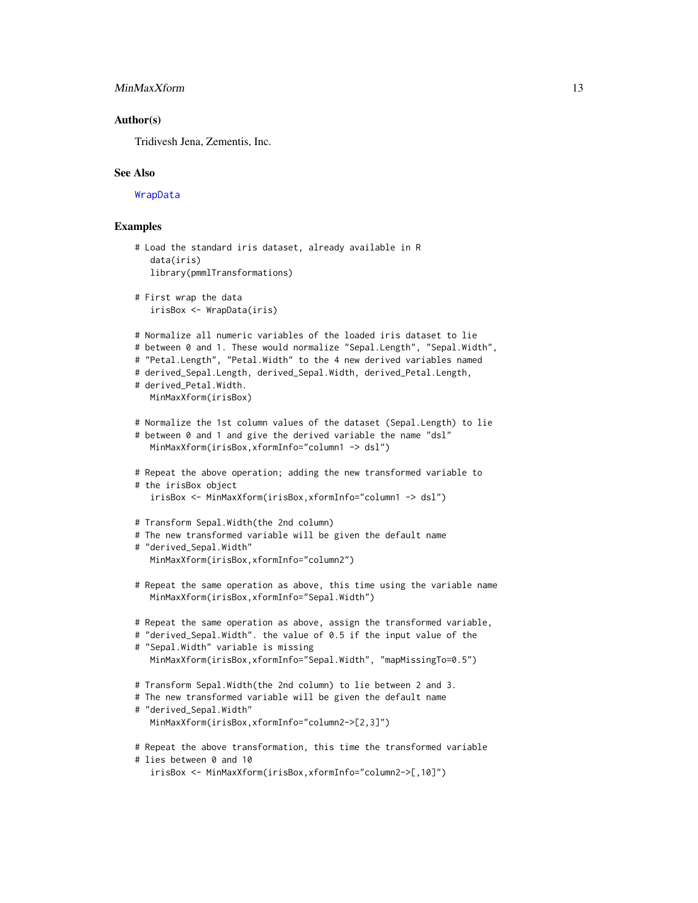# <span id="page-12-0"></span>MinMaxXform 13

# Author(s)

Tridivesh Jena, Zementis, Inc.

#### See Also

[WrapData](#page-16-1)

```
# Load the standard iris dataset, already available in R
   data(iris)
  library(pmmlTransformations)
# First wrap the data
   irisBox <- WrapData(iris)
# Normalize all numeric variables of the loaded iris dataset to lie
# between 0 and 1. These would normalize "Sepal.Length", "Sepal.Width",
# "Petal.Length", "Petal.Width" to the 4 new derived variables named
# derived_Sepal.Length, derived_Sepal.Width, derived_Petal.Length,
# derived_Petal.Width.
  MinMaxXform(irisBox)
# Normalize the 1st column values of the dataset (Sepal.Length) to lie
# between 0 and 1 and give the derived variable the name "dsl"
  MinMaxXform(irisBox,xformInfo="column1 -> dsl")
# Repeat the above operation; adding the new transformed variable to
# the irisBox object
   irisBox <- MinMaxXform(irisBox,xformInfo="column1 -> dsl")
# Transform Sepal.Width(the 2nd column)
# The new transformed variable will be given the default name
# "derived_Sepal.Width"
  MinMaxXform(irisBox,xformInfo="column2")
# Repeat the same operation as above, this time using the variable name
  MinMaxXform(irisBox,xformInfo="Sepal.Width")
# Repeat the same operation as above, assign the transformed variable,
# "derived_Sepal.Width". the value of 0.5 if the input value of the
# "Sepal.Width" variable is missing
  MinMaxXform(irisBox,xformInfo="Sepal.Width", "mapMissingTo=0.5")
# Transform Sepal.Width(the 2nd column) to lie between 2 and 3.
# The new transformed variable will be given the default name
# "derived_Sepal.Width"
  MinMaxXform(irisBox,xformInfo="column2->[2,3]")
# Repeat the above transformation, this time the transformed variable
# lies between 0 and 10
   irisBox <- MinMaxXform(irisBox,xformInfo="column2->[,10]")
```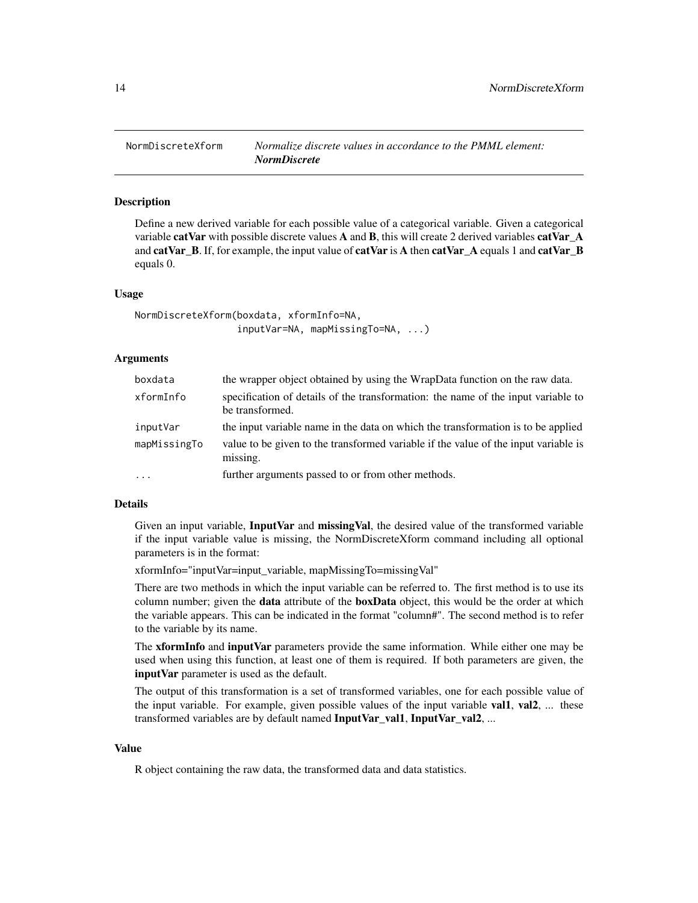<span id="page-13-0"></span>

# Description

Define a new derived variable for each possible value of a categorical variable. Given a categorical variable catVar with possible discrete values A and B, this will create 2 derived variables catVar\_A and catVar\_B. If, for example, the input value of catVar is A then catVar\_A equals 1 and catVar\_B equals 0.

# Usage

```
NormDiscreteXform(boxdata, xformInfo=NA,
                  inputVar=NA, mapMissingTo=NA, ...)
```
# Arguments

| boxdata      | the wrapper object obtained by using the WrapData function on the raw data.                          |
|--------------|------------------------------------------------------------------------------------------------------|
| xformInfo    | specification of details of the transformation: the name of the input variable to<br>be transformed. |
| inputVar     | the input variable name in the data on which the transformation is to be applied                     |
| mapMissingTo | value to be given to the transformed variable if the value of the input variable is<br>missing.      |
| $\cdots$     | further arguments passed to or from other methods.                                                   |

### Details

Given an input variable, InputVar and missingVal, the desired value of the transformed variable if the input variable value is missing, the NormDiscreteXform command including all optional parameters is in the format:

xformInfo="inputVar=input\_variable, mapMissingTo=missingVal"

There are two methods in which the input variable can be referred to. The first method is to use its column number; given the **data** attribute of the **boxData** object, this would be the order at which the variable appears. This can be indicated in the format "column#". The second method is to refer to the variable by its name.

The **xformInfo** and **inputVar** parameters provide the same information. While either one may be used when using this function, at least one of them is required. If both parameters are given, the input Var parameter is used as the default.

The output of this transformation is a set of transformed variables, one for each possible value of the input variable. For example, given possible values of the input variable val1, val2, ... these transformed variables are by default named **InputVar\_val1, InputVar\_val2,** ...

# Value

R object containing the raw data, the transformed data and data statistics.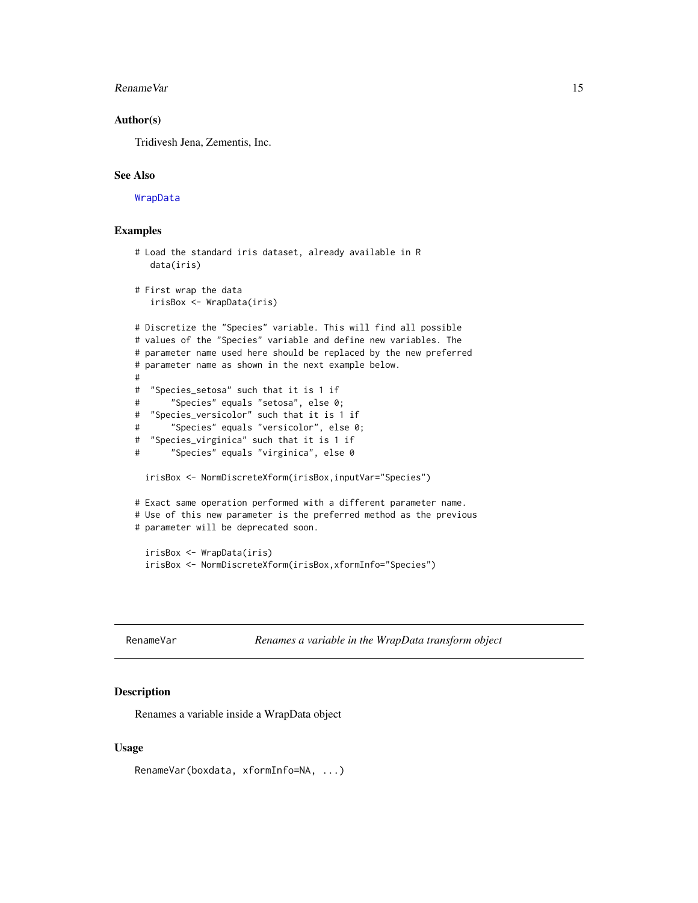#### <span id="page-14-0"></span>RenameVar 15

# Author(s)

Tridivesh Jena, Zementis, Inc.

# See Also

[WrapData](#page-16-1)

# Examples

```
# Load the standard iris dataset, already available in R
  data(iris)
# First wrap the data
  irisBox <- WrapData(iris)
# Discretize the "Species" variable. This will find all possible
# values of the "Species" variable and define new variables. The
# parameter name used here should be replaced by the new preferred
# parameter name as shown in the next example below.
#
# "Species_setosa" such that it is 1 if
# "Species" equals "setosa", else 0;
# "Species_versicolor" such that it is 1 if
# "Species" equals "versicolor", else 0;
# "Species_virginica" such that it is 1 if
# "Species" equals "virginica", else 0
 irisBox <- NormDiscreteXform(irisBox,inputVar="Species")
# Exact same operation performed with a different parameter name.
# Use of this new parameter is the preferred method as the previous
# parameter will be deprecated soon.
 irisBox <- WrapData(iris)
 irisBox <- NormDiscreteXform(irisBox,xformInfo="Species")
```
RenameVar *Renames a variable in the WrapData transform object*

# Description

Renames a variable inside a WrapData object

#### Usage

RenameVar(boxdata, xformInfo=NA, ...)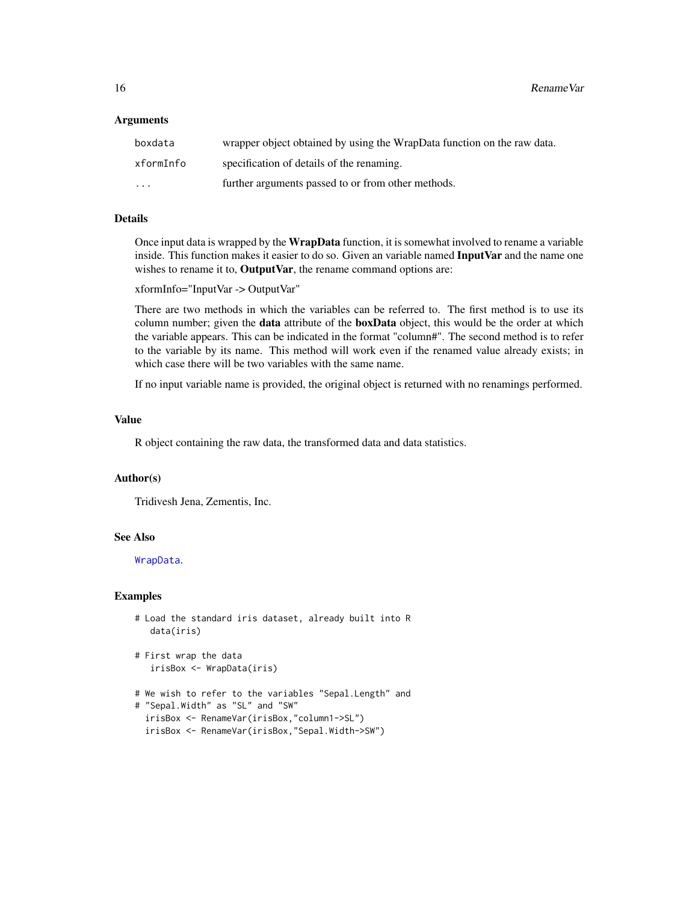# <span id="page-15-0"></span>Arguments

| boxdata   | wrapper object obtained by using the WrapData function on the raw data. |
|-----------|-------------------------------------------------------------------------|
| xformInfo | specification of details of the renaming.                               |
| $\cdots$  | further arguments passed to or from other methods.                      |

# Details

Once input data is wrapped by the WrapData function, it is somewhat involved to rename a variable inside. This function makes it easier to do so. Given an variable named InputVar and the name one wishes to rename it to, OutputVar, the rename command options are:

xformInfo="InputVar -> OutputVar"

There are two methods in which the variables can be referred to. The first method is to use its column number; given the **data** attribute of the **boxData** object, this would be the order at which the variable appears. This can be indicated in the format "column#". The second method is to refer to the variable by its name. This method will work even if the renamed value already exists; in which case there will be two variables with the same name.

If no input variable name is provided, the original object is returned with no renamings performed.

# Value

R object containing the raw data, the transformed data and data statistics.

# Author(s)

Tridivesh Jena, Zementis, Inc.

# See Also

[WrapData](#page-16-1).

```
# Load the standard iris dataset, already built into R
  data(iris)
```

```
# First wrap the data
   irisBox <- WrapData(iris)
```

```
# We wish to refer to the variables "Sepal.Length" and
# "Sepal.Width" as "SL" and "SW"
 irisBox <- RenameVar(irisBox,"column1->SL")
```

```
irisBox <- RenameVar(irisBox,"Sepal.Width->SW")
```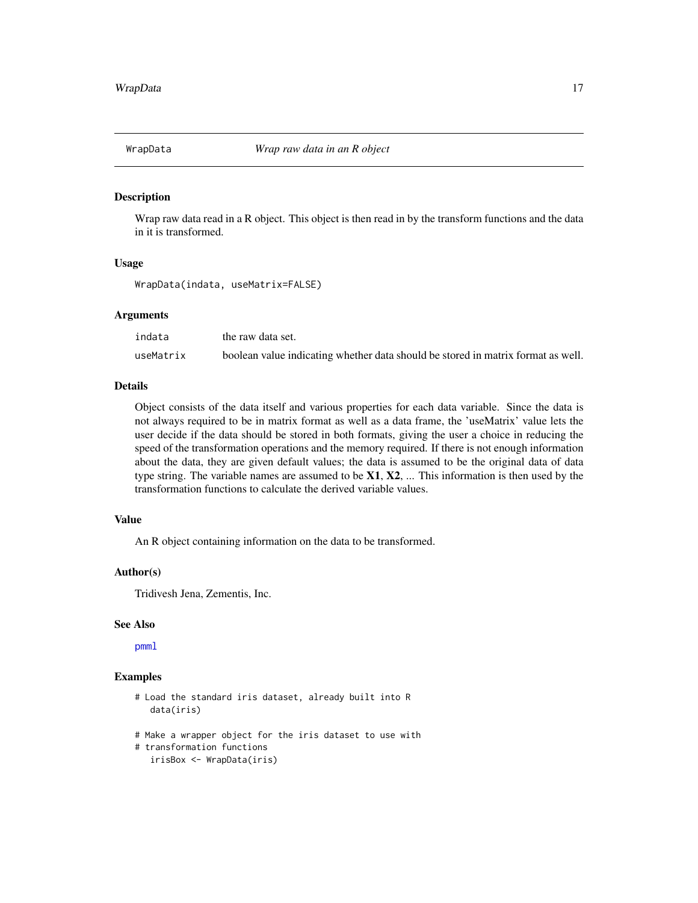<span id="page-16-1"></span><span id="page-16-0"></span>

# Description

Wrap raw data read in a R object. This object is then read in by the transform functions and the data in it is transformed.

# Usage

WrapData(indata, useMatrix=FALSE)

#### Arguments

| indata    | the raw data set.                                                                |
|-----------|----------------------------------------------------------------------------------|
| useMatrix | boolean value indicating whether data should be stored in matrix format as well. |

# Details

Object consists of the data itself and various properties for each data variable. Since the data is not always required to be in matrix format as well as a data frame, the 'useMatrix' value lets the user decide if the data should be stored in both formats, giving the user a choice in reducing the speed of the transformation operations and the memory required. If there is not enough information about the data, they are given default values; the data is assumed to be the original data of data type string. The variable names are assumed to be  $X1, X2, \ldots$  This information is then used by the transformation functions to calculate the derived variable values.

# Value

An R object containing information on the data to be transformed.

# Author(s)

Tridivesh Jena, Zementis, Inc.

# See Also

[pmml](#page-0-0)

- # Load the standard iris dataset, already built into R data(iris)
- # Make a wrapper object for the iris dataset to use with
- # transformation functions
- irisBox <- WrapData(iris)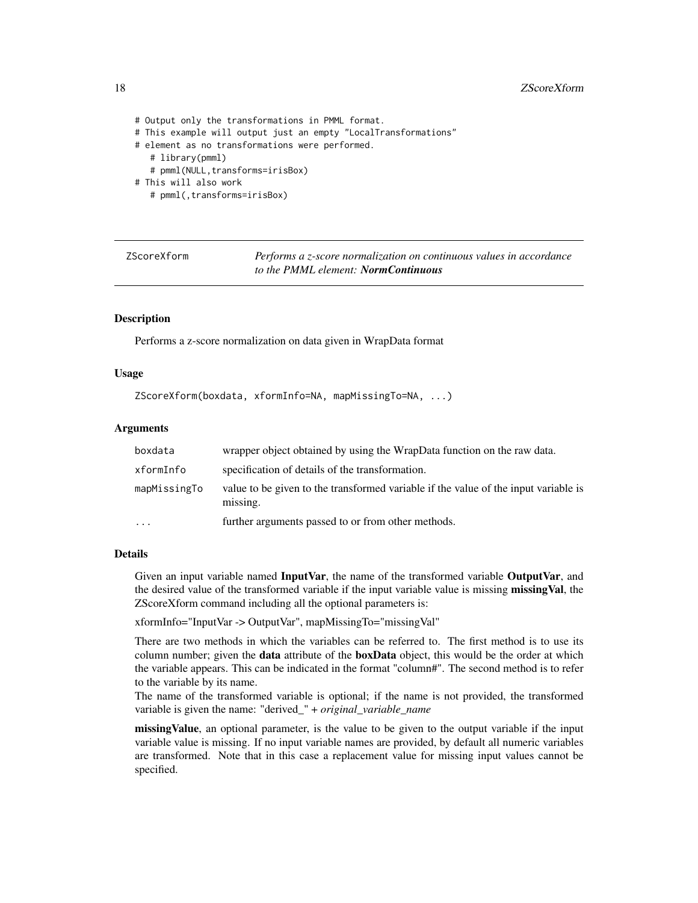```
# Output only the transformations in PMML format.
# This example will output just an empty "LocalTransformations"
# element as no transformations were performed.
   # library(pmml)
   # pmml(NULL,transforms=irisBox)
# This will also work
   # pmml(,transforms=irisBox)
```

| ZScoreXform |
|-------------|
|-------------|

Performs a *z*-score normalization on continuous values in accordance *to the PMML element: NormContinuous*

# Description

Performs a z-score normalization on data given in WrapData format

# Usage

```
ZScoreXform(boxdata, xformInfo=NA, mapMissingTo=NA, ...)
```
#### Arguments

| boxdata      | wrapper object obtained by using the WrapData function on the raw data.                         |
|--------------|-------------------------------------------------------------------------------------------------|
| xformInfo    | specification of details of the transformation.                                                 |
| mapMissingTo | value to be given to the transformed variable if the value of the input variable is<br>missing. |
| $\ddots$     | further arguments passed to or from other methods.                                              |

# Details

Given an input variable named InputVar, the name of the transformed variable OutputVar, and the desired value of the transformed variable if the input variable value is missing missingVal, the ZScoreXform command including all the optional parameters is:

xformInfo="InputVar -> OutputVar", mapMissingTo="missingVal"

There are two methods in which the variables can be referred to. The first method is to use its column number; given the **data** attribute of the **boxData** object, this would be the order at which the variable appears. This can be indicated in the format "column#". The second method is to refer to the variable by its name.

The name of the transformed variable is optional; if the name is not provided, the transformed variable is given the name: "derived\_" + *original\_variable\_name*

missing Value, an optional parameter, is the value to be given to the output variable if the input variable value is missing. If no input variable names are provided, by default all numeric variables are transformed. Note that in this case a replacement value for missing input values cannot be specified.

<span id="page-17-0"></span>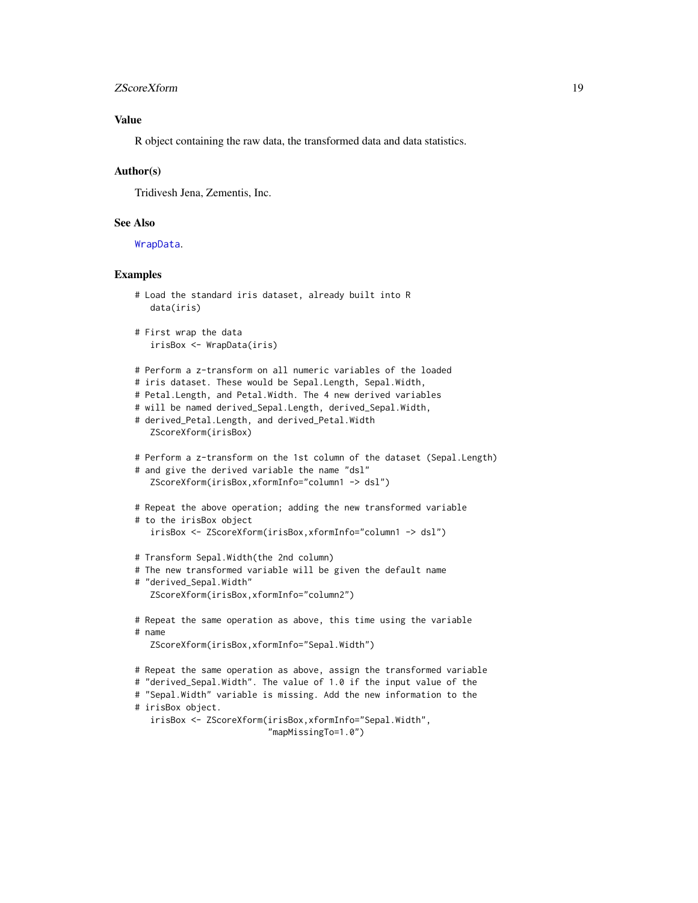# <span id="page-18-0"></span>zScoreXform 19

# Value

R object containing the raw data, the transformed data and data statistics.

# Author(s)

Tridivesh Jena, Zementis, Inc.

# See Also

[WrapData](#page-16-1).

```
# Load the standard iris dataset, already built into R
   data(iris)
# First wrap the data
   irisBox <- WrapData(iris)
# Perform a z-transform on all numeric variables of the loaded
# iris dataset. These would be Sepal.Length, Sepal.Width,
# Petal.Length, and Petal.Width. The 4 new derived variables
# will be named derived_Sepal.Length, derived_Sepal.Width,
# derived_Petal.Length, and derived_Petal.Width
   ZScoreXform(irisBox)
# Perform a z-transform on the 1st column of the dataset (Sepal.Length)
# and give the derived variable the name "dsl"
   ZScoreXform(irisBox,xformInfo="column1 -> dsl")
# Repeat the above operation; adding the new transformed variable
# to the irisBox object
   irisBox <- ZScoreXform(irisBox,xformInfo="column1 -> dsl")
# Transform Sepal.Width(the 2nd column)
# The new transformed variable will be given the default name
# "derived_Sepal.Width"
   ZScoreXform(irisBox,xformInfo="column2")
# Repeat the same operation as above, this time using the variable
# name
   ZScoreXform(irisBox,xformInfo="Sepal.Width")
# Repeat the same operation as above, assign the transformed variable
# "derived_Sepal.Width". The value of 1.0 if the input value of the
# "Sepal.Width" variable is missing. Add the new information to the
# irisBox object.
   irisBox <- ZScoreXform(irisBox,xformInfo="Sepal.Width",
                          "mapMissingTo=1.0")
```